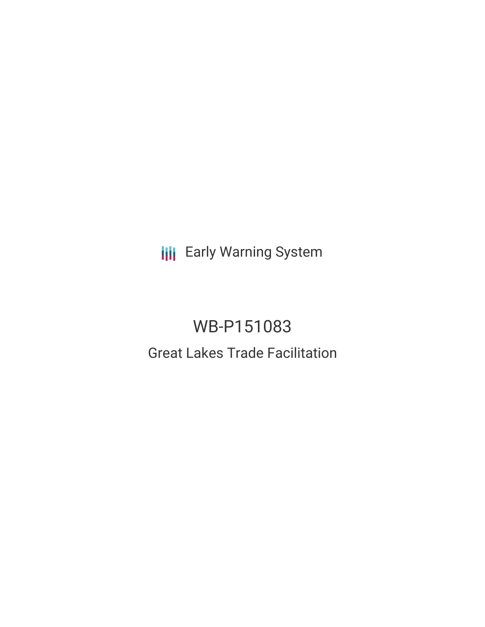**III** Early Warning System

# WB-P151083 Great Lakes Trade Facilitation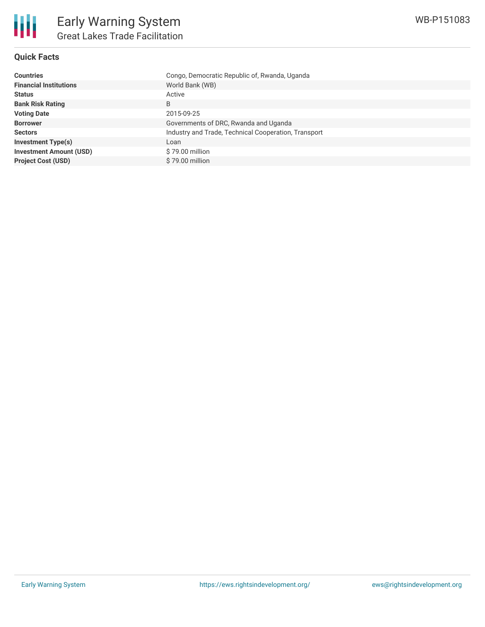

## **Quick Facts**

| <b>Countries</b>               | Congo, Democratic Republic of, Rwanda, Uganda        |
|--------------------------------|------------------------------------------------------|
| <b>Financial Institutions</b>  | World Bank (WB)                                      |
| <b>Status</b>                  | Active                                               |
| <b>Bank Risk Rating</b>        | B                                                    |
| <b>Voting Date</b>             | 2015-09-25                                           |
| <b>Borrower</b>                | Governments of DRC, Rwanda and Uganda                |
| <b>Sectors</b>                 | Industry and Trade, Technical Cooperation, Transport |
| <b>Investment Type(s)</b>      | Loan                                                 |
| <b>Investment Amount (USD)</b> | $$79.00$ million                                     |
| <b>Project Cost (USD)</b>      | \$79.00 million                                      |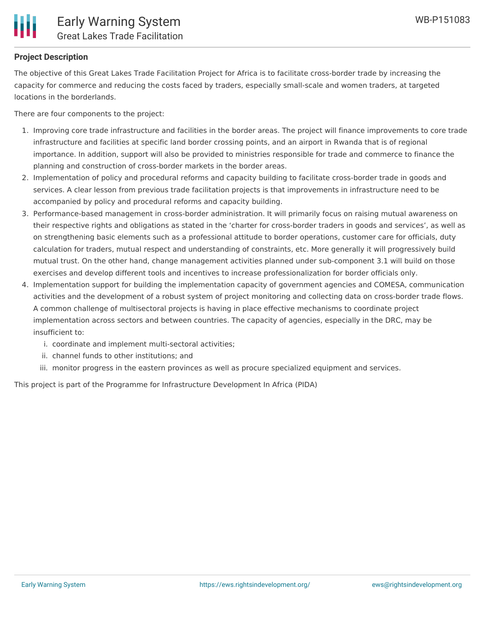

#### **Project Description**

The objective of this Great Lakes Trade Facilitation Project for Africa is to facilitate cross-border trade by increasing the capacity for commerce and reducing the costs faced by traders, especially small-scale and women traders, at targeted locations in the borderlands.

There are four components to the project:

- 1. Improving core trade infrastructure and facilities in the border areas. The project will finance improvements to core trade infrastructure and facilities at specific land border crossing points, and an airport in Rwanda that is of regional importance. In addition, support will also be provided to ministries responsible for trade and commerce to finance the planning and construction of cross-border markets in the border areas.
- 2. Implementation of policy and procedural reforms and capacity building to facilitate cross-border trade in goods and services. A clear lesson from previous trade facilitation projects is that improvements in infrastructure need to be accompanied by policy and procedural reforms and capacity building.
- 3. Performance-based management in cross-border administration. It will primarily focus on raising mutual awareness on their respective rights and obligations as stated in the 'charter for cross-border traders in goods and services', as well as on strengthening basic elements such as a professional attitude to border operations, customer care for officials, duty calculation for traders, mutual respect and understanding of constraints, etc. More generally it will progressively build mutual trust. On the other hand, change management activities planned under sub-component 3.1 will build on those exercises and develop different tools and incentives to increase professionalization for border officials only.
- 4. Implementation support for building the implementation capacity of government agencies and COMESA, communication activities and the development of a robust system of project monitoring and collecting data on cross-border trade flows. A common challenge of multisectoral projects is having in place effective mechanisms to coordinate project implementation across sectors and between countries. The capacity of agencies, especially in the DRC, may be insufficient to:
	- i. coordinate and implement multi-sectoral activities;
	- ii. channel funds to other institutions; and
	- iii. monitor progress in the eastern provinces as well as procure specialized equipment and services.

This project is part of the Programme for Infrastructure Development In Africa (PIDA)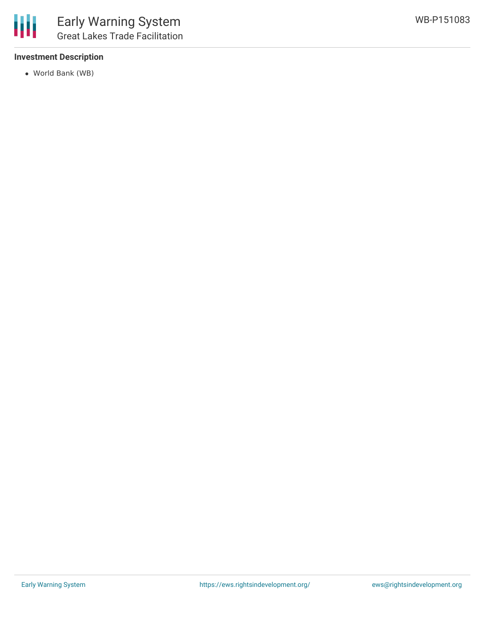

#### **Investment Description**

World Bank (WB)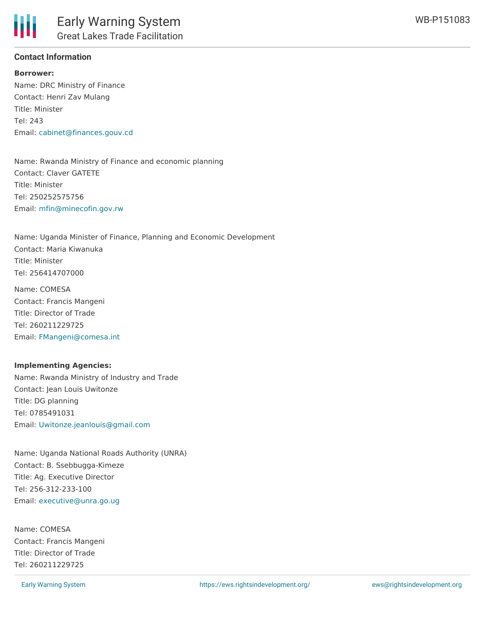

#### **Contact Information**

**Borrower:** Name: DRC Ministry of Finance Contact: Henri Zav Mulang Title: Minister Tel: 243 Email: [cabinet@finances.gouv.cd](mailto:cabinet@finances.gouv.cd)

Name: Rwanda Ministry of Finance and economic planning Contact: Claver GATETE Title: Minister Tel: 250252575756 Email: [mfin@minecofin.gov.rw](mailto:mfin@minecofin.gov.rw)

Name: Uganda Minister of Finance, Planning and Economic Development Contact: Maria Kiwanuka Title: Minister Tel: 256414707000

Name: COMESA Contact: Francis Mangeni Title: Director of Trade Tel: 260211229725 Email: [FMangeni@comesa.int](mailto:FMangeni@comesa.int)

#### **Implementing Agencies:**

Name: Rwanda Ministry of Industry and Trade Contact: Jean Louis Uwitonze Title: DG planning Tel: 0785491031 Email: [Uwitonze.jeanlouis@gmail.com](mailto:Uwitonze.jeanlouis@gmail.com)

Name: Uganda National Roads Authority (UNRA) Contact: B. Ssebbugga-Kimeze Title: Ag. Executive Director Tel: 256-312-233-100 Email: [executive@unra.go.ug](mailto:executive@unra.go.ug)

Name: COMESA Contact: Francis Mangeni Title: Director of Trade Tel: 260211229725

Email: [fmangeni@comesa.int](mailto:fmangeni@comesa.int)

WB-P151083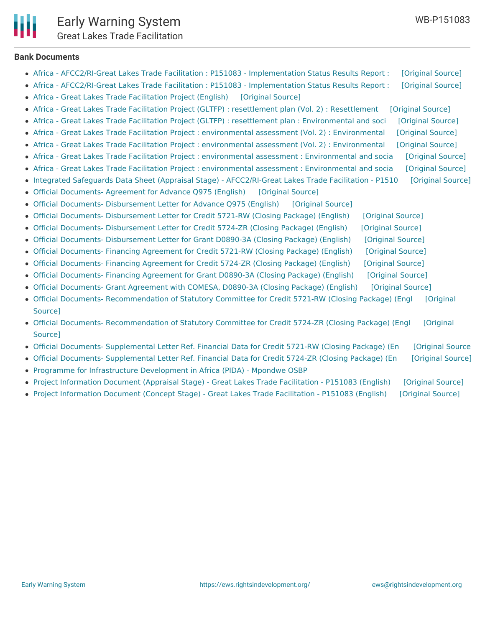Early Warning System [Great](mailto:info@caa.gov.rw) Lakes Trade Facilitation

**Bank Documents**

- Africa AFCC2/RI-Great Lakes Trade Facilitation : P151083 [Implementation](https://ewsdata.rightsindevelopment.org/files/documents/83/WB-P151083.pdf) Status Results Report : [\[Original](http://documents.worldbank.org/curated/en/2016/06/26532995/africa-afcc2ri-great-lakes-trade-facilitation-p151083-implementation-status-results-report-sequence-02) Source]
- Africa AFCC2/RI-Great Lakes Trade Facilitation : P151083 [Implementation](https://ewsdata.rightsindevelopment.org/files/documents/83/WB-P151083_cq9HPq6.pdf) Status Results Report : [\[Original](http://documents.worldbank.org/curated/en/2015/12/25710267/africa-afcc2ri-great-lakes-trade-facilitation-p151083-implementation-status-results-report-sequence-01) Source]
- Africa Great Lakes Trade [Facilitation](https://ewsdata.rightsindevelopment.org/files/documents/83/WB-P151083_ZCiZRbN.pdf) Project (English) [\[Original](http://documents.worldbank.org/curated/en/2015/10/25010660/africa-great-lakes-trade-facilitation-project) Source]
- Africa Great Lakes Trade Facilitation Project (GLTFP) : resettlement plan (Vol. 2) : [Resettlement](https://ewsdata.rightsindevelopment.org/files/documents/83/WB-P151083_XKQZ1yl.pdf) [\[Original](http://documents.worldbank.org/curated/en/2015/04/24735065/africa-great-lakes-trade-facilitation-project-gltfp-resettlement-plan-vol-2-resettlement-policy-framework) Source]
- Africa [Great](mailto:info@loda.gov.rw) Lakes Trade Facilitation Project (GLTFP) : resettlement plan : [Environmental](https://ewsdata.rightsindevelopment.org/files/documents/83/WB-P151083_d4vtG6f.pdf) and soci [\[Original](http://documents.worldbank.org/curated/en/2015/05/24735088/africa-great-lakes-trade-facilitation-project-gltfp-resettlement-plan-environmental-social-management-framework-border-post-market-projects) Source]
- Africa Great Lakes Trade Facilitation Project : environmental assessment (Vol. 2) : [Environmental](https://ewsdata.rightsindevelopment.org/files/documents/83/WB-P151083_NAnzM5v.pdf) [\[Original](http://documents.worldbank.org/curated/en/2015/05/24735051/africa-great-lakes-trade-facilitation-project-environmental-assessment-vol-2-environmental-social-management-framework-rwanda) Source]
- Africa Great Lakes Trade Facilitation Project : environmental assessment (Vol. 2) : [Environmental](https://ewsdata.rightsindevelopment.org/files/documents/83/WB-P151083_jRBqfjt.pdf) [\[Original](http://documents.worldbank.org/curated/en/2015/05/24735115/africa-great-lakes-trade-facilitation-project-environmental-assessment-vol-2-environmental-social-management-framework-uganda) Source]
- Africa Great Lakes Trade Facilitation Project : environmental assessment : [Environmental](https://ewsdata.rightsindevelopment.org/files/documents/83/WB-P151083_IFz3jrO.pdf) and socia [\[Original](http://documents.worldbank.org/curated/en/2015/05/24735125/africa-great-lakes-trade-facilitation-project-environmental-assessment-environmental-social-management-framework-rwanda) Source]
- Africa Great Lakes Trade Facilitation Project : environmental assessment : [Environmental](https://ewsdata.rightsindevelopment.org/files/documents/83/WB-P151083_WrqXs57.pdf) and socia [\[Original](http://documents.worldbank.org/curated/en/2015/05/24735060/africa-great-lakes-trade-facilitation-project-environmental-assessment-environmental-social-management-framework-uganda) Source]
- Integrated Safeguards Data Sheet (Appraisal Stage) [AFCC2/RI-Great](https://ewsdata.rightsindevelopment.org/files/documents/83/WB-P151083_0u9D1TI.pdf) Lakes Trade Facilitation P1510 [\[Original](http://documents.worldbank.org/curated/en/2015/07/24952127/integrated-safeguards-data-sheet-appraisal-stage-afcc2ri-great-lakes-trade-facilitation-p151083) Source]
- Official [Documents-](https://ewsdata.rightsindevelopment.org/files/documents/83/WB-P151083_YcQK5vu.pdf) Agreement for Advance Q975 (English) [\[Original](http://documents.worldbank.org/curated/en/2015/06/24796645/official-documents--agreement-advance-q975) Source]
- Official Documents- [Disbursement](https://ewsdata.rightsindevelopment.org/files/documents/83/WB-P151083_fRixCP2.pdf) Letter for Advance Q975 (English) [\[Original](http://documents.worldbank.org/curated/en/2015/06/24796641/official-documents--disbursement-letter-advance-q975) Source]
- Official Documents- [Disbursement](https://ewsdata.rightsindevelopment.org/files/documents/83/WB-P151083_jB7jqXG.pdf) Letter for Credit 5721-RW (Closing Package) (English) [\[Original](http://documents.worldbank.org/curated/en/2015/10/25261250/official-documents--disbursement-letter-credit-5721-rw-closing-package) Source]
- Official Documents- [Disbursement](https://ewsdata.rightsindevelopment.org/files/documents/83/WB-P151083_d4mLgwp.pdf) Letter for Credit 5724-ZR (Closing Package) (English) [\[Original](http://documents.worldbank.org/curated/en/2015/10/25651800/official-documents--disbursement-letter-credit-5724-zr-closing-package) Source]
- Official Documents- [Disbursement](https://ewsdata.rightsindevelopment.org/files/documents/83/WB-P151083_epnGrKM.pdf) Letter for Grant D0890-3A (Closing Package) (English) [\[Original](http://documents.worldbank.org/curated/en/2015/11/25770403/official-documents--disbursement-letter-grant-d0890-3a-closing-package) Source]
- Official [Documents-](https://ewsdata.rightsindevelopment.org/files/documents/83/WB-P151083_Pao2kE3.pdf) Financing Agreement for Credit 5721-RW (Closing Package) (English) [\[Original](http://documents.worldbank.org/curated/en/2015/10/25261253/official-documents--financing-agreement-credit-5721-rw-closing-package) Source]
- Official [Documents-](https://ewsdata.rightsindevelopment.org/files/documents/83/WB-P151083_flVCtnY.pdf) Financing Agreement for Credit 5724-ZR (Closing Package) (English) [\[Original](http://documents.worldbank.org/curated/en/2015/10/25651813/official-documents--financing-agreement-credit-5724-zr-closing-package) Source]
- Official [Documents-](https://ewsdata.rightsindevelopment.org/files/documents/83/WB-P151083_6bPE4hB.pdf) Financing Agreement for Grant D0890-3A (Closing Package) (English) [\[Original](http://documents.worldbank.org/curated/en/2015/11/25770332/official-documents--financing-agreement-grant-d0890-3a-closing-package) Source]
- Official [Documents-](https://ewsdata.rightsindevelopment.org/files/documents/83/WB-P151083_EjhkZjw.pdf) Grant Agreement with COMESA, D0890-3A (Closing Package) (English) [\[Original](http://documents.worldbank.org/curated/en/2015/10/25651936/official-documents--grant-agreement-comesa-d089-3a-closing-package) Source]
- Official Documents- [Recommendation](http://documents.worldbank.org/curated/en/2015/09/25261239/official-documents--recommendation-statutory-committee-credit-5721-rw-closing-package) of Statutory Committee for Credit 5721-RW (Closing Package) (Engl [Original Source]
- Official Documents- [Recommendation](http://documents.worldbank.org/curated/en/2015/09/25651860/official-documents--recommendation-statutory-committee-credit-5724-zr-closing-package) of Statutory Committee for Credit 5724-ZR (Closing Package) (Engl [Original **Source1**
- Official Documents- [Supplemental](https://ewsdata.rightsindevelopment.org/files/documents/83/WB-P151083_mKxAVb1.pdf) Letter Ref. Financial Data for Credit 5721-RW (Closing Package) (En [\[Original](http://documents.worldbank.org/curated/en/2015/10/25261236/official-documents--supplemental-letter-ref-financial-data-credit-5721-rw-closing-package) Source]
- Official Documents- [Supplemental](https://ewsdata.rightsindevelopment.org/files/documents/83/WB-P151083_zT1Fh22.pdf) Letter Ref. Financial Data for Credit 5724-ZR (Closing Package) (En [\[Original](http://documents.worldbank.org/curated/en/2015/10/25651898/official-documents--supplemental-letter-ref-financial-data-credit-5724-zr-closing-package) Source]
- Programme for [Infrastructure](http://www.au-pida.org/view-project/859/) Development in Africa (PIDA) Mpondwe OSBP
- Project [Information](https://ewsdata.rightsindevelopment.org/files/documents/83/WB-P151083_w9fFgen.pdf) Document (Appraisal Stage) Great Lakes Trade Facilitation P151083 (English) [\[Original](http://documents.worldbank.org/curated/en/2015/04/24728275/project-information-document-appraisal-stage-great-lakes-trade-facilitation-p151083) Source]
- Project [Information](https://ewsdata.rightsindevelopment.org/files/documents/83/WB-P151083_9pmaeXo.pdf) Document (Concept Stage) Great Lakes Trade Facilitation P151083 (English) [\[Original](http://documents.worldbank.org/curated/en/2014/11/20402599/project-information-document-concept-stage-great-lakes-trade-facilitation-p151083) Source]